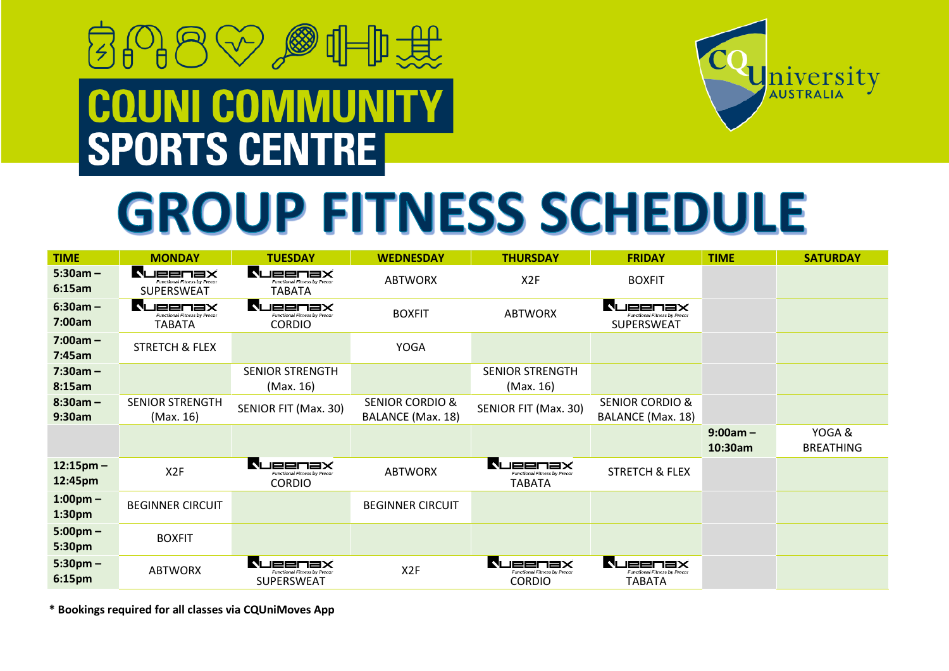## 月の日☆◎⊪典第 **COUNI COMMUNITY<br>SPORTS CENTRE**



## **GROUP FITNESS SCHEDULE**

| <b>TIME</b>                  | <b>MONDAY</b>                                                        | <b>TUESDAY</b>                                                      | <b>WEDNESDAY</b>                                | <b>THURSDAY</b>                                              | <b>FRIDAY</b>                                                  | <b>TIME</b>           | <b>SATURDAY</b>           |
|------------------------------|----------------------------------------------------------------------|---------------------------------------------------------------------|-------------------------------------------------|--------------------------------------------------------------|----------------------------------------------------------------|-----------------------|---------------------------|
| $5:30am -$<br>6:15am         | <b>NUBBLIBX</b><br><b>Functional Fitness by Precor</b><br>SUPERSWEAT | NUEENEX<br>Functional Fitness by Precor<br>TABATA                   | <b>ABTWORX</b>                                  | X2F                                                          | <b>BOXFIT</b>                                                  |                       |                           |
| $6:30am -$<br>7:00am         | <b>JEENƏX</b><br>Functional Fitness by Precor<br><b>TABATA</b>       | N<br><b>JEENBX</b><br>Functional Fitness by Precor<br><b>CORDIO</b> | <b>BOXFIT</b>                                   | <b>ABTWORX</b>                                               | JEENSX<br>Functional Fitness by Precor<br>SUPERSWEAT           |                       |                           |
| $7:00am -$<br>7:45am         | <b>STRETCH &amp; FLEX</b>                                            |                                                                     | <b>YOGA</b>                                     |                                                              |                                                                |                       |                           |
| $7:30am -$<br>8:15am         |                                                                      | <b>SENIOR STRENGTH</b><br>(Max. 16)                                 |                                                 | <b>SENIOR STRENGTH</b><br>(Max. 16)                          |                                                                |                       |                           |
| $8:30am -$<br>9:30am         | <b>SENIOR STRENGTH</b><br>(Max. 16)                                  | SENIOR FIT (Max. 30)                                                | <b>SENIOR CORDIO &amp;</b><br>BALANCE (Max. 18) | SENIOR FIT (Max. 30)                                         | <b>SENIOR CORDIO &amp;</b><br>BALANCE (Max. 18)                |                       |                           |
|                              |                                                                      |                                                                     |                                                 |                                                              |                                                                | $9:00am -$<br>10:30am | YOGA&<br><b>BREATHING</b> |
| $12:15$ pm –<br>12:45pm      | X <sub>2</sub> F                                                     | NUEENEX<br>Functional Fitness by Precor<br><b>CORDIO</b>            | <b>ABTWORX</b>                                  | N<br>JEENSX<br>Functional Fitness by Precor<br><b>TABATA</b> | <b>STRETCH &amp; FLEX</b>                                      |                       |                           |
| $1:00$ pm $-$<br>1:30pm      | <b>BEGINNER CIRCUIT</b>                                              |                                                                     | <b>BEGINNER CIRCUIT</b>                         |                                                              |                                                                |                       |                           |
| $5:00 \text{pm} -$<br>5:30pm | <b>BOXFIT</b>                                                        |                                                                     |                                                 |                                                              |                                                                |                       |                           |
| $5:30$ pm $-$<br>6:15pm      | <b>ABTWORX</b>                                                       | NI<br>JEENƏX<br>Functional Fitness by Precor<br>SUPERSWEAT          | X <sub>2</sub> F                                | N<br>JEENƏX<br>Functional Fitness by Precor<br><b>CORDIO</b> | <b>JEENBX</b><br>Functional Fitness by Precor<br><b>TABATA</b> |                       |                           |

**\* Bookings required for all classes via CQUniMoves App**